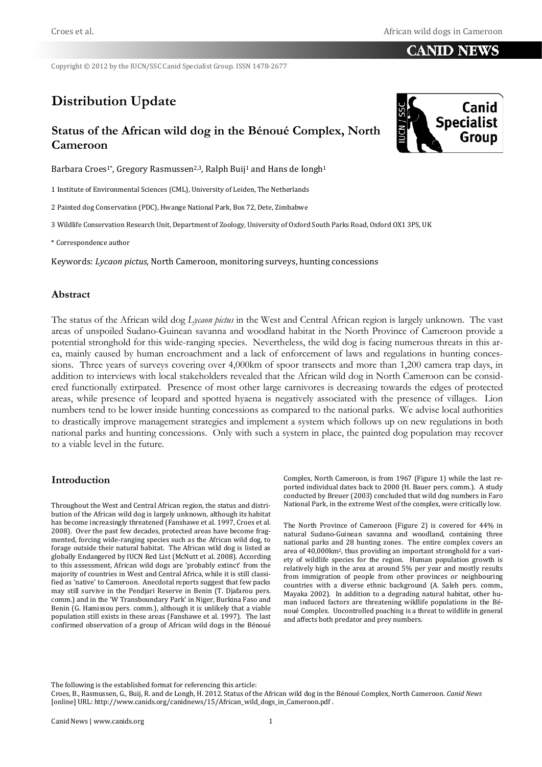### **CANID NEWS**

Copyright © 2012 by the IUCN/SSC Canid Specialist Group. ISSN 1478-2677

# **Distribution Update**

## **Status of the African wild dog in the Bénoué Complex, North Cameroon**

Barbara Croes<sup>1\*</sup>, Gregory Rasmussen<sup>2,3</sup>, Ralph Buij<sup>1</sup> and Hans de Iongh<sup>1</sup>

1 Institute of Environmental Sciences (CML), University of Leiden, The Netherlands

2 Painted dog Conservation (PDC), Hwange National Park, Box 72, Dete, Zimbabwe

3 Wildlife Conservation Research Unit, Department of Zoology, University of Oxford South Parks Road, Oxford OX1 3PS, UK

\* Correspondence author

Keywords: *Lycaon pictus*, North Cameroon, monitoring surveys, hunting concessions

#### **Abstract**

The status of the African wild dog *Lycaon pictus* in the West and Central African region is largely unknown. The vast areas of unspoiled Sudano-Guinean savanna and woodland habitat in the North Province of Cameroon provide a potential stronghold for this wide-ranging species. Nevertheless, the wild dog is facing numerous threats in this area, mainly caused by human encroachment and a lack of enforcement of laws and regulations in hunting concessions. Three years of surveys covering over 4,000km of spoor transects and more than 1,200 camera trap days, in addition to interviews with local stakeholders revealed that the African wild dog in North Cameroon can be considered functionally extirpated. Presence of most other large carnivores is decreasing towards the edges of protected areas, while presence of leopard and spotted hyaena is negatively associated with the presence of villages. Lion numbers tend to be lower inside hunting concessions as compared to the national parks. We advise local authorities to drastically improve management strategies and implement a system which follows up on new regulations in both national parks and hunting concessions. Only with such a system in place, the painted dog population may recover to a viable level in the future.

#### **Introduction**

Throughout the West and Central African region, the status and distribution of the African wild dog is largely unknown, although its habitat has become increasingly threatened (Fanshawe et al. 1997, Croes et al. 2008). Over the past few decades, protected areas have become fragmented, forcing wide-ranging species such as the African wild dog, to forage outside their natural habitat. The African wild dog is listed as globally Endangered by IUCN Red List (McNutt et al. 2008). According to this assessment, African wild dogs are 'probably extinct' from the majority of countries in West and Central Africa, while it is still classified as 'native' to Cameroon. Anecdotal reports suggest that few packs may still survive in the Pendjari Reserve in Benin (T. Djafarou pers. comm.) and in the 'W Transboundary Park' in Niger, Burkina Faso and Benin (G. Hamissou pers. comm.), although it is unlikely that a viable population still exists in these areas (Fanshawe et al. 1997). The last confirmed observation of a group of African wild dogs in the Bénoué

Complex, North Cameroon, is from 1967 (Figure 1) while the last reported individual dates back to 2000 (H. Bauer pers. comm.). A study conducted by Breuer (2003) concluded that wild dog numbers in Faro National Park, in the extreme West of the complex, were critically low.

The North Province of Cameroon (Figure 2) is covered for 44% in natural Sudano-Guinean savanna and woodland, containing three national parks and 28 hunting zones. The entire complex covers an area of 40,000km2, thus providing an important stronghold for a variety of wildlife species for the region. Human population growth is relatively high in the area at around 5% per year and mostly results from immigration of people from other provinces or neighbouring countries with a diverse ethnic background (A. Saleh pers. comm., Mayaka 2002). In addition to a degrading natural habitat, other human induced factors are threatening wildlife populations in the Bénoué Complex. Uncontrolled poaching is a threat to wildlife in general and affects both predator and prey numbers.

The following is the established format for referencing this article:

Croes, B., Rasmussen, G., Buij, R. and de Longh, H. 2012. Status of the African wild dog in the Bénoué Complex, North Cameroon. *Canid News* [online] URL: http://www.canids.org/canidnews/15/African\_wild\_dogs\_in\_Cameroon.pdf .

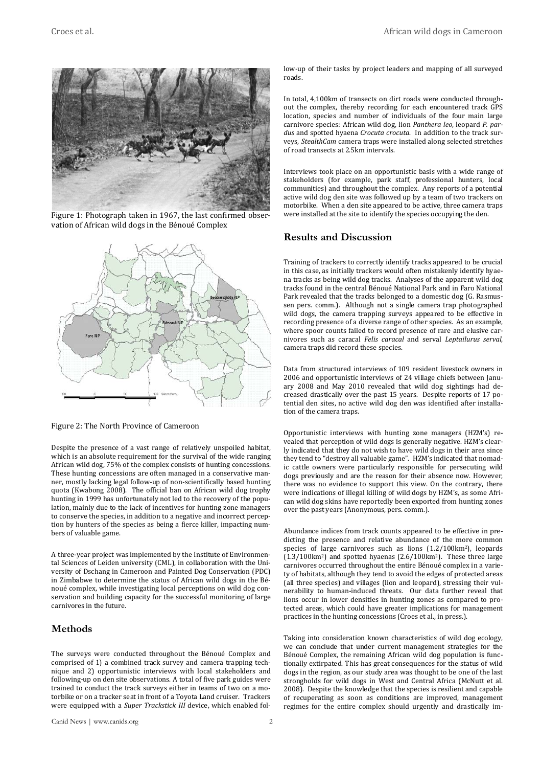

Figure 1: Photograph taken in 1967, the last confirmed observation of African wild dogs in the Bénoué Complex



Figure 2: The North Province of Cameroon

Despite the presence of a vast range of relatively unspoiled habitat, which is an absolute requirement for the survival of the wide ranging African wild dog, 75% of the complex consists of hunting concessions. These hunting concessions are often managed in a conservative manner, mostly lacking legal follow-up of non-scientifically based hunting quota (Kwabong 2008). The official ban on African wild dog trophy hunting in 1999 has unfortunately not led to the recovery of the population, mainly due to the lack of incentives for hunting zone managers to conserve the species, in addition to a negative and incorrect perception by hunters of the species as being a fierce killer, impacting numbers of valuable game.

A three-year project was implemented by the Institute of Environmental Sciences of Leiden university (CML), in collaboration with the University of Dschang in Cameroon and Painted Dog Conservation (PDC) in Zimbabwe to determine the status of African wild dogs in the Bénoué complex, while investigating local perceptions on wild dog conservation and building capacity for the successful monitoring of large carnivores in the future.

#### **Methods**

The surveys were conducted throughout the Bénoué Complex and comprised of 1) a combined track survey and camera trapping technique and 2) opportunistic interviews with local stakeholders and following-up on den site observations. A total of five park guides were trained to conduct the track surveys either in teams of two on a motorbike or on a tracker seat in front of a Toyota Land cruiser. Trackers were equipped with a *Super Trackstick III* device, which enabled follow-up of their tasks by project leaders and mapping of all surveyed roads.

In total, 4,100km of transects on dirt roads were conducted throughout the complex, thereby recording for each encountered track GPS location, species and number of individuals of the four main large carnivore species: African wild dog, lion *Panthera leo*, leopard *P. pardus* and spotted hyaena *Crocuta crocuta*. In addition to the track surveys, *StealthCam* camera traps were installed along selected stretches of road transects at 2.5km intervals.

Interviews took place on an opportunistic basis with a wide range of stakeholders (for example, park staff, professional hunters, local communities) and throughout the complex. Any reports of a potential active wild dog den site was followed up by a team of two trackers on motorbike. When a den site appeared to be active, three camera traps were installed at the site to identify the species occupying the den.

#### **Results and Discussion**

Training of trackers to correctly identify tracks appeared to be crucial in this case, as initially trackers would often mistakenly identify hyaena tracks as being wild dog tracks. Analyses of the apparent wild dog tracks found in the central Bénoué National Park and in Faro National Park revealed that the tracks belonged to a domestic dog (G. Rasmussen pers. comm.). Although not a single camera trap photographed wild dogs, the camera trapping surveys appeared to be effective in recording presence of a diverse range of other species. As an example, where spoor counts failed to record presence of rare and elusive carnivores such as caracal *Felis caracal* and serval *Leptailurus serval*, camera traps did record these species.

Data from structured interviews of 109 resident livestock owners in 2006 and opportunistic interviews of 24 village chiefs between January 2008 and May 2010 revealed that wild dog sightings had decreased drastically over the past 15 years. Despite reports of 17 potential den sites, no active wild dog den was identified after installation of the camera traps.

Opportunistic interviews with hunting zone managers (HZM's) revealed that perception of wild dogs is generally negative. HZM's clearly indicated that they do not wish to have wild dogs in their area since they tend to "destroy all valuable game". HZM's indicated that nomadic cattle owners were particularly responsible for persecuting wild dogs previously and are the reason for their absence now. However, there was no evidence to support this view. On the contrary, there were indications of illegal killing of wild dogs by HZM's, as some African wild dog skins have reportedly been exported from hunting zones over the past years (Anonymous, pers. comm.).

Abundance indices from track counts appeared to be effective in predicting the presence and relative abundance of the more common species of large carnivores such as lions (1.2/100km2), leopards (1.3/100km2) and spotted hyaenas (2.6/100km2). These three large carnivores occurred throughout the entire Bénoué complex in a variety of habitats, although they tend to avoid the edges of protected areas (all three species) and villages (lion and leopard), stressing their vulnerability to human-induced threats. Our data further reveal that lions occur in lower densities in hunting zones as compared to protected areas, which could have greater implications for management practices in the hunting concessions (Croes et al., in press.).

Taking into consideration known characteristics of wild dog ecology, we can conclude that under current management strategies for the Bénoué Complex, the remaining African wild dog population is functionally extirpated. This has great consequences for the status of wild dogs in the region, as our study area was thought to be one of the last strongholds for wild dogs in West and Central Africa (McNutt et al. 2008). Despite the knowledge that the species is resilient and capable of recuperating as soon as conditions are improved, management regimes for the entire complex should urgently and drastically im